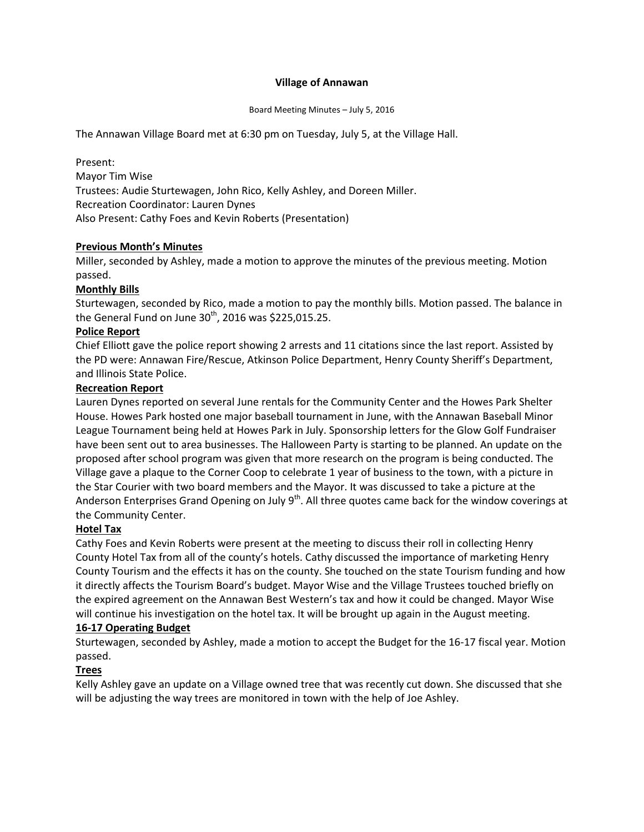## **Village of Annawan**

Board Meeting Minutes – July 5, 2016

The Annawan Village Board met at 6:30 pm on Tuesday, July 5, at the Village Hall.

Present: Mayor Tim Wise Trustees: Audie Sturtewagen, John Rico, Kelly Ashley, and Doreen Miller. Recreation Coordinator: Lauren Dynes Also Present: Cathy Foes and Kevin Roberts (Presentation)

## **Previous Month's Minutes**

Miller, seconded by Ashley, made a motion to approve the minutes of the previous meeting. Motion passed.

# **Monthly Bills**

Sturtewagen, seconded by Rico, made a motion to pay the monthly bills. Motion passed. The balance in the General Fund on June  $30<sup>th</sup>$ , 2016 was \$225,015.25.

## **Police Report**

Chief Elliott gave the police report showing 2 arrests and 11 citations since the last report. Assisted by the PD were: Annawan Fire/Rescue, Atkinson Police Department, Henry County Sheriff's Department, and Illinois State Police.

## **Recreation Report**

Lauren Dynes reported on several June rentals for the Community Center and the Howes Park Shelter House. Howes Park hosted one major baseball tournament in June, with the Annawan Baseball Minor League Tournament being held at Howes Park in July. Sponsorship letters for the Glow Golf Fundraiser have been sent out to area businesses. The Halloween Party is starting to be planned. An update on the proposed after school program was given that more research on the program is being conducted. The Village gave a plaque to the Corner Coop to celebrate 1 year of business to the town, with a picture in the Star Courier with two board members and the Mayor. It was discussed to take a picture at the Anderson Enterprises Grand Opening on July  $9<sup>th</sup>$ . All three quotes came back for the window coverings at the Community Center.

## **Hotel Tax**

Cathy Foes and Kevin Roberts were present at the meeting to discuss their roll in collecting Henry County Hotel Tax from all of the county's hotels. Cathy discussed the importance of marketing Henry County Tourism and the effects it has on the county. She touched on the state Tourism funding and how it directly affects the Tourism Board's budget. Mayor Wise and the Village Trustees touched briefly on the expired agreement on the Annawan Best Western's tax and how it could be changed. Mayor Wise will continue his investigation on the hotel tax. It will be brought up again in the August meeting.

## **16-17 Operating Budget**

Sturtewagen, seconded by Ashley, made a motion to accept the Budget for the 16-17 fiscal year. Motion passed.

## **Trees**

Kelly Ashley gave an update on a Village owned tree that was recently cut down. She discussed that she will be adjusting the way trees are monitored in town with the help of Joe Ashley.